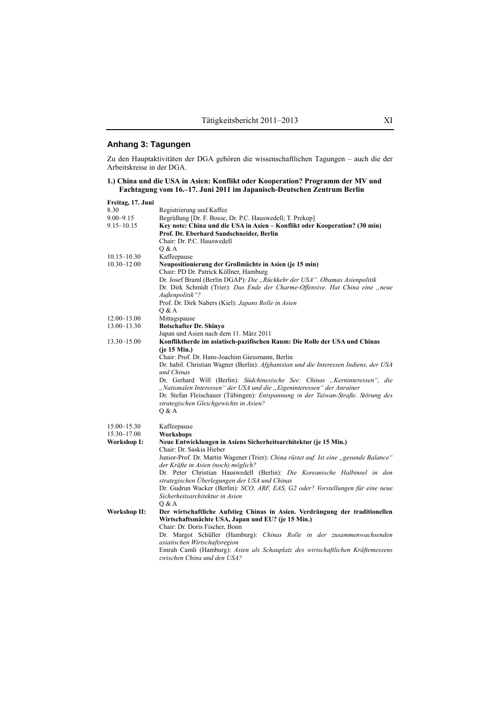## **Anhang 3: Tagungen**

Zu den Hauptaktivitäten der DGA gehören die wissenschaftlichen Tagungen – auch die der Arbeitskreise in der DGA.

|  |  |  | 1.) China und die USA in Asien: Konflikt oder Kooperation? Programm der MV und |  |
|--|--|--|--------------------------------------------------------------------------------|--|
|  |  |  | Fachtagung vom 16.–17. Juni 2011 im Japanisch-Deutschen Zentrum Berlin         |  |

| Begrüßung [Dr. F. Bosse, Dr. P.C. Hauswedell; T. Prekop]                              |
|---------------------------------------------------------------------------------------|
| Key note: China und die USA in Asien – Konflikt oder Kooperation? (30 min)            |
|                                                                                       |
|                                                                                       |
|                                                                                       |
|                                                                                       |
| Neupositionierung der Großmächte in Asien (je 15 min)                                 |
|                                                                                       |
| Dr. Josef Braml (Berlin DGAP): Die "Rückkehr der USA". Obamas Asienpolitik            |
| Dr. Dirk Schmidt (Trier): Das Ende der Charme-Offensive. Hat China eine "neue         |
|                                                                                       |
|                                                                                       |
|                                                                                       |
|                                                                                       |
|                                                                                       |
|                                                                                       |
|                                                                                       |
| Konfliktherde im asiatisch-pazifischen Raum: Die Rolle der USA und Chinas             |
|                                                                                       |
|                                                                                       |
| Dr. habil. Christian Wagner (Berlin): Afghanistan und die Interessen Indiens, der USA |
|                                                                                       |
| Dr. Gerhard Will (Berlin): Südchinesische See: Chinas "Kerninteressen", die           |
| "Nationalen Interessen" der USA und die "Eigeninteressen" der Anrainer                |
| Dr. Stefan Fleischauer (Tübingen): Entspannung in der Taiwan-Straße. Störung des      |
|                                                                                       |
|                                                                                       |
|                                                                                       |
|                                                                                       |
|                                                                                       |
| Neue Entwicklungen in Asiens Sicherheitsarchitektur (je 15 Min.)                      |
|                                                                                       |
| Junior-Prof. Dr. Martin Wagener (Trier): China rüstet auf. Ist eine "gesunde Balance" |
|                                                                                       |
| Dr. Peter Christian Hauswedell (Berlin): Die Koreanische Halbinsel in den             |
|                                                                                       |
| Dr. Gudrun Wacker (Berlin): SCO, ARF, EAS, G2 oder? Vorstellungen für eine neue       |
|                                                                                       |
|                                                                                       |
| Der wirtschaftliche Aufstieg Chinas in Asien. Verdrängung der traditionellen          |
| Wirtschaftsmächte USA, Japan und EU? (je 15 Min.)                                     |
|                                                                                       |
|                                                                                       |
|                                                                                       |
| Dr. Margot Schüller (Hamburg): Chinas Rolle in der zusammenwachsenden                 |
| Emrah Camli (Hamburg): Asien als Schauplatz des wirtschaftlichen Kräftemessens        |
|                                                                                       |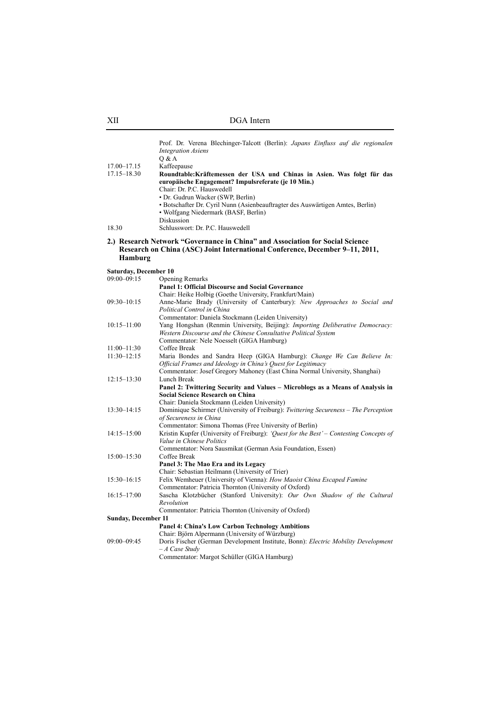|                              | Prof. Dr. Verena Blechinger-Talcott (Berlin): Japans Einfluss auf die regionalen<br><b>Integration Asiens</b><br>Q & A                                                                                                                                                |
|------------------------------|-----------------------------------------------------------------------------------------------------------------------------------------------------------------------------------------------------------------------------------------------------------------------|
| 17.00-17.15                  | Kaffeepause                                                                                                                                                                                                                                                           |
| $17.15 - 18.30$              | Roundtable: Kräftemessen der USA und Chinas in Asien. Was folgt für das                                                                                                                                                                                               |
|                              | europäische Engagement? Impulsreferate (je 10 Min.)<br>Chair: Dr. P.C. Hauswedell<br>• Dr. Gudrun Wacker (SWP, Berlin)<br>• Botschafter Dr. Cyril Nunn (Asienbeauftragter des Auswärtigen Amtes, Berlin)<br>• Wolfgang Niedermark (BASF, Berlin)<br><b>Diskussion</b> |
| 18.30                        | Schlusswort: Dr. P.C. Hauswedell                                                                                                                                                                                                                                      |
| Hamburg                      | 2.) Research Network "Governance in China" and Association for Social Science<br>Research on China (ASC) Joint International Conference, December 9-11, 2011,                                                                                                         |
| <b>Saturday, December 10</b> |                                                                                                                                                                                                                                                                       |
| $09:00 - 09:15$              | Opening Remarks                                                                                                                                                                                                                                                       |
|                              | <b>Panel 1: Official Discourse and Social Governance</b>                                                                                                                                                                                                              |
|                              | Chair: Heike Holbig (Goethe University, Frankfurt/Main)                                                                                                                                                                                                               |
| $09:30 - 10:15$              | Anne-Marie Brady (University of Canterbury): New Approaches to Social and<br>Political Control in China                                                                                                                                                               |
|                              | Commentator: Daniela Stockmann (Leiden University)                                                                                                                                                                                                                    |
| $10:15 - 11:00$              | Yang Hongshan (Renmin University, Beijing): Importing Deliberative Democracy:                                                                                                                                                                                         |
|                              | Western Discourse and the Chinese Consultative Political System                                                                                                                                                                                                       |
|                              | Commentator: Nele Noesselt (GIGA Hamburg)                                                                                                                                                                                                                             |
| $11:00 - 11:30$              | Coffee Break                                                                                                                                                                                                                                                          |
| $11:30 - 12:15$              | Maria Bondes and Sandra Heep (GIGA Hamburg): Change We Can Believe In:<br>Official Frames and Ideology in China's Quest for Legitimacy<br>Commentator: Josef Gregory Mahoney (East China Normal University, Shanghai)                                                 |
|                              | Lunch Break                                                                                                                                                                                                                                                           |
| $12:15 - 13:30$              | Panel 2: Twittering Security and Values - Microblogs as a Means of Analysis in<br><b>Social Science Research on China</b><br>Chair: Daniela Stockmann (Leiden University)                                                                                             |
| $13:30 - 14:15$              | Dominique Schirmer (University of Freiburg): Twittering Secureness - The Perception                                                                                                                                                                                   |
|                              | of Secureness in China                                                                                                                                                                                                                                                |
|                              | Commentator: Simona Thomas (Free University of Berlin)                                                                                                                                                                                                                |
| $14:15 - 15:00$              | Kristin Kupfer (University of Freiburg): ' <i>Ouest for the Best'</i> – Contesting Concepts of<br>Value in Chinese Politics                                                                                                                                           |
|                              | Commentator: Nora Sausmikat (German Asia Foundation, Essen)                                                                                                                                                                                                           |
| $15:00 - 15:30$              | Coffee Break                                                                                                                                                                                                                                                          |
|                              | Panel 3: The Mao Era and its Legacy                                                                                                                                                                                                                                   |
|                              | Chair: Sebastian Heilmann (University of Trier)                                                                                                                                                                                                                       |
| $15:30 - 16:15$              | Felix Wemheuer (University of Vienna): How Maoist China Escaped Famine                                                                                                                                                                                                |
|                              | Commentator: Patricia Thornton (University of Oxford)                                                                                                                                                                                                                 |
|                              |                                                                                                                                                                                                                                                                       |
| $16:15 - 17:00$              | Sascha Klotzbücher (Stanford University): Our Own Shadow of the Cultural<br>Revolution                                                                                                                                                                                |
|                              | Commentator: Patricia Thornton (University of Oxford)                                                                                                                                                                                                                 |
| <b>Sunday, December 11</b>   |                                                                                                                                                                                                                                                                       |
|                              | <b>Panel 4: China's Low Carbon Technology Ambitions</b>                                                                                                                                                                                                               |
|                              | Chair: Björn Alpermann (University of Würzburg)                                                                                                                                                                                                                       |
| 09:00-09:45                  | Doris Fischer (German Development Institute, Bonn): Electric Mobility Development                                                                                                                                                                                     |
|                              | $-A$ Case Study                                                                                                                                                                                                                                                       |
|                              | Commentator: Margot Schüller (GIGA Hamburg)                                                                                                                                                                                                                           |
|                              |                                                                                                                                                                                                                                                                       |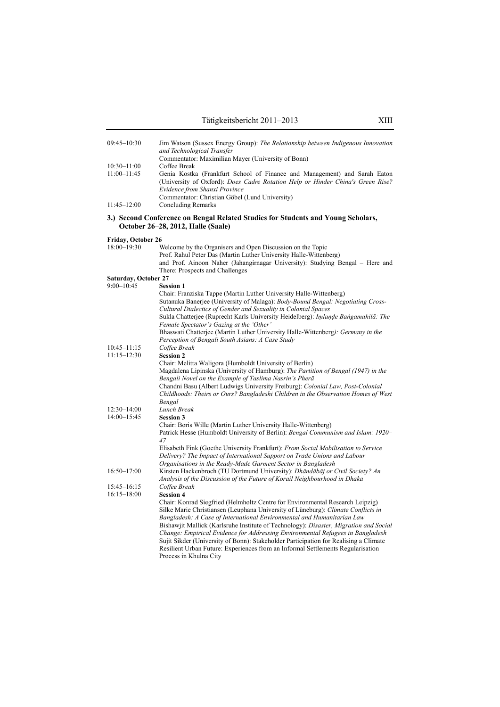| 09:45-10:30          | Jim Watson (Sussex Energy Group): The Relationship between Indigenous Innovation<br>and Technological Transfer                                                                                                                                                                                                                                                                                                                                                                                                                                                                                                                                  |
|----------------------|-------------------------------------------------------------------------------------------------------------------------------------------------------------------------------------------------------------------------------------------------------------------------------------------------------------------------------------------------------------------------------------------------------------------------------------------------------------------------------------------------------------------------------------------------------------------------------------------------------------------------------------------------|
|                      | Commentator: Maximilian Mayer (University of Bonn)                                                                                                                                                                                                                                                                                                                                                                                                                                                                                                                                                                                              |
| $10:30 - 11:00$      | Coffee Break                                                                                                                                                                                                                                                                                                                                                                                                                                                                                                                                                                                                                                    |
| $11:00 - 11:45$      | Genia Kostka (Frankfurt School of Finance and Management) and Sarah Eaton<br>(University of Oxford): Does Cadre Rotation Help or Hinder China's Green Rise?<br>Evidence from Shanxi Province                                                                                                                                                                                                                                                                                                                                                                                                                                                    |
|                      | Commentator: Christian Göbel (Lund University)                                                                                                                                                                                                                                                                                                                                                                                                                                                                                                                                                                                                  |
| $11:45 - 12:00$      | <b>Concluding Remarks</b>                                                                                                                                                                                                                                                                                                                                                                                                                                                                                                                                                                                                                       |
|                      | 3.) Second Conference on Bengal Related Studies for Students and Young Scholars,<br>October 26–28, 2012, Halle (Saale)                                                                                                                                                                                                                                                                                                                                                                                                                                                                                                                          |
| Friday, October 26   |                                                                                                                                                                                                                                                                                                                                                                                                                                                                                                                                                                                                                                                 |
| 18:00-19:30          | Welcome by the Organisers and Open Discussion on the Topic<br>Prof. Rahul Peter Das (Martin Luther University Halle-Wittenberg)<br>and Prof. Ainoon Naher (Jahangirnagar University): Studying Bengal – Here and<br>There: Prospects and Challenges                                                                                                                                                                                                                                                                                                                                                                                             |
| Saturday, October 27 |                                                                                                                                                                                                                                                                                                                                                                                                                                                                                                                                                                                                                                                 |
| $9:00 - 10:45$       | <b>Session 1</b>                                                                                                                                                                                                                                                                                                                                                                                                                                                                                                                                                                                                                                |
|                      | Chair: Franziska Tappe (Martin Luther University Halle-Wittenberg)<br>Sutanuka Banerjee (University of Malaga): Body-Bound Bengal: Negotiating Cross-<br>Cultural Dialectics of Gender and Sexuality in Colonial Spaces<br>Sukla Chatterjee (Ruprecht Karls University Heidelberg): Imlande Bangamahilā: The<br>Female Spectator's Gazing at the 'Other'<br>Bhaswati Chatterjee (Martin Luther University Halle-Wittenberg): Germany in the                                                                                                                                                                                                     |
|                      | Perception of Bengali South Asians: A Case Study                                                                                                                                                                                                                                                                                                                                                                                                                                                                                                                                                                                                |
| $10:45 - 11:15$      | Coffee Break                                                                                                                                                                                                                                                                                                                                                                                                                                                                                                                                                                                                                                    |
| $11:15 - 12:30$      | <b>Session 2</b>                                                                                                                                                                                                                                                                                                                                                                                                                                                                                                                                                                                                                                |
|                      | Chair: Melitta Waligora (Humboldt University of Berlin)<br>Magdalena Lipinska (University of Hamburg): The Partition of Bengal (1947) in the<br>Bengali Novel on the Example of Taslima Nasrin's Pherā<br>Chandni Basu (Albert Ludwigs University Freiburg): Colonial Law, Post-Colonial<br>Childhoods: Theirs or Ours? Bangladeshi Children in the Observation Homes of West<br>Bengal                                                                                                                                                                                                                                                         |
| $12:30 - 14:00$      | Lunch Break                                                                                                                                                                                                                                                                                                                                                                                                                                                                                                                                                                                                                                     |
| 14:00-15:45          | <b>Session 3</b><br>Chair: Boris Wille (Martin Luther University Halle-Wittenberg)<br>Patrick Hesse (Humboldt University of Berlin): Bengal Communism and Islam: 1920–<br>47                                                                                                                                                                                                                                                                                                                                                                                                                                                                    |
|                      | Elisabeth Fink (Goethe University Frankfurt): From Social Mobilisation to Service<br>Delivery? The Impact of International Support on Trade Unions and Labour<br>Organisations in the Ready-Made Garment Sector in Bangladesh                                                                                                                                                                                                                                                                                                                                                                                                                   |
| $16:50 - 17:00$      | Kirsten Hackenbroch (TU Dortmund University): Dhāndābāj or Civil Society? An<br>Analysis of the Discussion of the Future of Korail Neighbourhood in Dhaka                                                                                                                                                                                                                                                                                                                                                                                                                                                                                       |
| $15:45 - 16:15$      | Coffee Break                                                                                                                                                                                                                                                                                                                                                                                                                                                                                                                                                                                                                                    |
| $16:15 - 18:00$      | <b>Session 4</b><br>Chair: Konrad Siegfried (Helmholtz Centre for Environmental Research Leipzig)<br>Silke Marie Christiansen (Leuphana University of Lüneburg): Climate Conflicts in<br>Bangladesh: A Case of International Environmental and Humanitarian Law<br>Bishawjit Mallick (Karlsruhe Institute of Technology): Disaster, Migration and Social<br>Change: Empirical Evidence for Addressing Environmental Refugees in Bangladesh<br>Sujit Sikder (University of Bonn): Stakeholder Participation for Realising a Climate<br>Resilient Urban Future: Experiences from an Informal Settlements Regularisation<br>Process in Khulna City |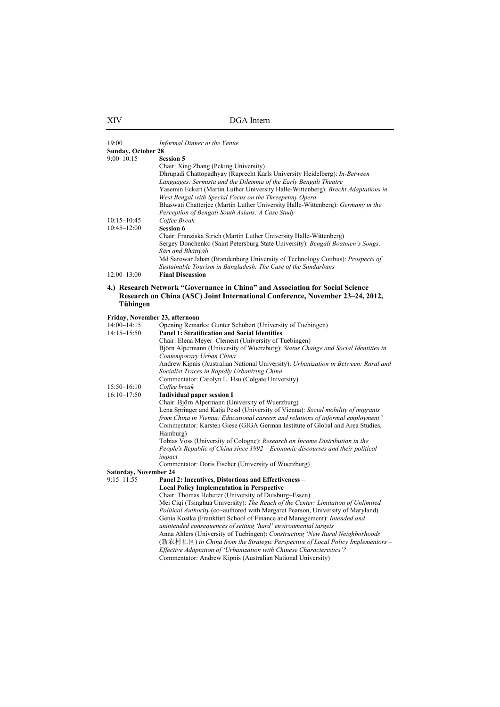| 19:00                                       | Informal Dinner at the Venue                                                                                                                                                                                                                                                                                                                                                                                                                 |
|---------------------------------------------|----------------------------------------------------------------------------------------------------------------------------------------------------------------------------------------------------------------------------------------------------------------------------------------------------------------------------------------------------------------------------------------------------------------------------------------------|
| <b>Sunday, October 28</b><br>$9:00 - 10:15$ | <b>Session 5</b><br>Chair: Xing Zhang (Peking University)<br>Dhrupadi Chattopadhyay (Ruprecht Karls University Heidelberg): In-Between<br>Languages: Sermista and the Dilemma of the Early Bengali Theatre<br>Yasemin Eckert (Martin Luther University Halle-Wittenberg): Brecht Adaptations in<br>West Bengal with Special Focus on the Threepenny Opera<br>Bhaswati Chatterjee (Martin Luther University Halle-Wittenberg): Germany in the |
| $10:15 - 10:45$<br>$10:45 - 12:00$          | Perception of Bengali South Asians: A Case Study<br>Coffee Break<br><b>Session 6</b><br>Chair: Franziska Strich (Martin Luther University Halle-Wittenberg)<br>Sergey Donchenko (Saint Petersburg State University): Bengali Boatmen's Songs:<br>Sāri and Bhāṭiỳāli<br>Md Sarowar Jahan (Brandenburg University of Technology Cottbus): <i>Prospects of</i><br>Sustainable Tourism in Bangladesh: The Case of the Sundarbans                 |
| $12:00 - 13:00$                             | <b>Final Discussion</b>                                                                                                                                                                                                                                                                                                                                                                                                                      |
| Tübingen                                    | 4.) Research Network "Governance in China" and Association for Social Science<br>Research on China (ASC) Joint International Conference, November 23–24, 2012,                                                                                                                                                                                                                                                                               |
| Friday, November 23, afternoon              |                                                                                                                                                                                                                                                                                                                                                                                                                                              |
| 14:00-14:15<br>$14:15 - 15:50$              | Opening Remarks: Gunter Schubert (University of Tuebingen)<br><b>Panel 1: Stratification and Social Identities</b>                                                                                                                                                                                                                                                                                                                           |
|                                             | Chair: Elena Meyer-Clement (University of Tuebingen)                                                                                                                                                                                                                                                                                                                                                                                         |
|                                             | Björn Alpermann (University of Wuerzburg): Status Change and Social Identities in                                                                                                                                                                                                                                                                                                                                                            |
|                                             | Contemporary Urban China                                                                                                                                                                                                                                                                                                                                                                                                                     |
|                                             | Andrew Kipnis (Australian National University): <i>Urbanization in Between: Rural and</i><br>Socialist Traces in Rapidly Urbanizing China                                                                                                                                                                                                                                                                                                    |
| $15:50 - 16:10$                             | Commentator: Carolyn L. Hsu (Colgate University)                                                                                                                                                                                                                                                                                                                                                                                             |
| $16:10 - 17:50$                             | Coffee break<br><b>Individual paper session I</b>                                                                                                                                                                                                                                                                                                                                                                                            |
|                                             | Chair: Björn Alpermann (University of Wuerzburg)                                                                                                                                                                                                                                                                                                                                                                                             |
|                                             | Lena Springer and Katja Pessl (University of Vienna): Social mobility of migrants<br>from China in Vienna: Educational careers and relations of informal employment"<br>Commentator: Karsten Giese (GIGA German Institute of Global and Area Studies,                                                                                                                                                                                        |
|                                             | Hamburg)<br>Tobias Voss (University of Cologne): Research on Income Distribution in the                                                                                                                                                                                                                                                                                                                                                      |
|                                             | People's Republic of China since 1992 – Economic discourses and their political                                                                                                                                                                                                                                                                                                                                                              |
|                                             | impact                                                                                                                                                                                                                                                                                                                                                                                                                                       |
|                                             | Commentator: Doris Fischer (University of Wuerzburg)                                                                                                                                                                                                                                                                                                                                                                                         |
| <b>Saturday, November 24</b>                |                                                                                                                                                                                                                                                                                                                                                                                                                                              |
| $9:15 - 11:55$                              | Panel 2: Incentives, Distortions and Effectiveness -                                                                                                                                                                                                                                                                                                                                                                                         |
|                                             | <b>Local Policy Implementation in Perspective</b>                                                                                                                                                                                                                                                                                                                                                                                            |
|                                             | Chair: Thomas Heberer (University of Duisburg–Essen)<br>Mei Ciqi (Tsinghua University): The Reach of the Center: Limitation of Unlimited                                                                                                                                                                                                                                                                                                     |
|                                             | Political Authority (co-authored with Margaret Pearson, University of Maryland)                                                                                                                                                                                                                                                                                                                                                              |
|                                             | Genia Kostka (Frankfurt School of Finance and Management): Intended and                                                                                                                                                                                                                                                                                                                                                                      |
|                                             | unintended consequences of setting 'hard' environmental targets                                                                                                                                                                                                                                                                                                                                                                              |
|                                             | Anna Ahlers (University of Tuebingen): Constructing 'New Rural Neighborhoods'                                                                                                                                                                                                                                                                                                                                                                |
|                                             | (新农村社区) in China from the Strategic Perspective of Local Policy Implementors –                                                                                                                                                                                                                                                                                                                                                               |
|                                             | Effective Adaptation of 'Urbanization with Chinese Characteristics'?                                                                                                                                                                                                                                                                                                                                                                         |
|                                             | Commentator: Andrew Kipnis (Australian National University)                                                                                                                                                                                                                                                                                                                                                                                  |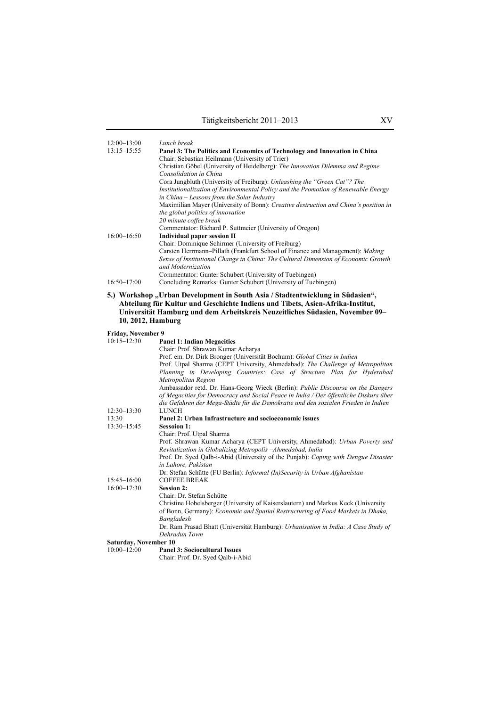| $12:00 - 13:00$                                 | Lunch break                                                                                                                                                |  |  |  |
|-------------------------------------------------|------------------------------------------------------------------------------------------------------------------------------------------------------------|--|--|--|
| $13:15 - 15:55$                                 | Panel 3: The Politics and Economics of Technology and Innovation in China<br>Chair: Sebastian Heilmann (University of Trier)                               |  |  |  |
|                                                 | Christian Göbel (University of Heidelberg): The Innovation Dilemma and Regime                                                                              |  |  |  |
|                                                 | Consolidation in China                                                                                                                                     |  |  |  |
|                                                 | Cora Jungbluth (University of Freiburg): Unleashing the "Green Cat"? The                                                                                   |  |  |  |
|                                                 | Institutionalization of Environmental Policy and the Promotion of Renewable Energy                                                                         |  |  |  |
|                                                 | in China – Lessons from the Solar Industry<br>Maximilian Mayer (University of Bonn): Creative destruction and China's position in                          |  |  |  |
|                                                 | the global politics of innovation                                                                                                                          |  |  |  |
|                                                 | 20 minute coffee break                                                                                                                                     |  |  |  |
|                                                 | Commentator: Richard P. Suttmeier (University of Oregon)                                                                                                   |  |  |  |
| $16:00 - 16:50$                                 | <b>Individual paper session II</b>                                                                                                                         |  |  |  |
|                                                 | Chair: Dominique Schirmer (University of Freiburg)<br>Carsten Herrmann-Pillath (Frankfurt School of Finance and Management): Making                        |  |  |  |
|                                                 | Sense of Institutional Change in China: The Cultural Dimension of Economic Growth                                                                          |  |  |  |
|                                                 | and Modernization                                                                                                                                          |  |  |  |
|                                                 | Commentator: Gunter Schubert (University of Tuebingen)                                                                                                     |  |  |  |
| $16:50 - 17:00$                                 | Concluding Remarks: Gunter Schubert (University of Tuebingen)                                                                                              |  |  |  |
|                                                 | 5.) Workshop "Urban Development in South Asia / Stadtentwicklung in Südasien",                                                                             |  |  |  |
|                                                 | Abteilung für Kultur und Geschichte Indiens und Tibets, Asien-Afrika-Institut,                                                                             |  |  |  |
|                                                 | Universität Hamburg und dem Arbeitskreis Neuzeitliches Südasien, November 09-                                                                              |  |  |  |
| 10, 2012, Hamburg                               |                                                                                                                                                            |  |  |  |
| <b>Friday, November 9</b>                       |                                                                                                                                                            |  |  |  |
| $10:15 - 12:30$                                 | <b>Panel 1: Indian Megacities</b>                                                                                                                          |  |  |  |
|                                                 | Chair: Prof. Shrawan Kumar Acharya                                                                                                                         |  |  |  |
|                                                 | Prof. em. Dr. Dirk Bronger (Universität Bochum): Global Cities in Indien<br>Prof. Utpal Sharma (CEPT University, Ahmedabad): The Challenge of Metropolitan |  |  |  |
|                                                 | Planning in Developing Countries: Case of Structure Plan for Hyderabad                                                                                     |  |  |  |
|                                                 | Metropolitan Region                                                                                                                                        |  |  |  |
|                                                 | Ambassador retd. Dr. Hans-Georg Wieck (Berlin): Public Discourse on the Dangers                                                                            |  |  |  |
|                                                 | of Megacities for Democracy and Social Peace in India / Der öffentliche Diskurs über                                                                       |  |  |  |
| $12:30 - 13:30$                                 | die Gefahren der Mega-Städte für die Demokratie und den sozialen Frieden in Indien<br><b>LUNCH</b>                                                         |  |  |  |
| 13:30                                           | Panel 2: Urban Infrastructure and socioeconomic issues                                                                                                     |  |  |  |
| $13:30 - 15:45$                                 | <b>Sessoion 1:</b>                                                                                                                                         |  |  |  |
|                                                 | Chair: Prof. Utpal Sharma                                                                                                                                  |  |  |  |
|                                                 | Prof. Shrawan Kumar Acharya (CEPT University, Ahmedabad): Urban Poverty and                                                                                |  |  |  |
|                                                 | Revitalization in Globalizing Metropolis-Ahmedabad, India<br>Prof. Dr. Syed Qalb-i-Abid (University of the Punjab): Coping with Dengue Disaster            |  |  |  |
|                                                 | in Lahore, Pakistan                                                                                                                                        |  |  |  |
|                                                 | Dr. Stefan Schütte (FU Berlin): Informal (In)Security in Urban Afghanistan                                                                                 |  |  |  |
| $15:45 - 16:00$                                 | <b>COFFEE BREAK</b>                                                                                                                                        |  |  |  |
| $16:00 - 17:30$                                 | <b>Session 2:</b>                                                                                                                                          |  |  |  |
|                                                 | Chair: Dr. Stefan Schütte<br>Christine Hobelsberger (University of Kaiserslautern) and Markus Keck (University                                             |  |  |  |
|                                                 | of Bonn, Germany): <i>Economic and Spatial Restructuring of Food Markets in Dhaka</i> ,                                                                    |  |  |  |
|                                                 | Bangladesh                                                                                                                                                 |  |  |  |
|                                                 | Dr. Ram Prasad Bhatt (Universität Hamburg): Urbanisation in India: A Case Study of                                                                         |  |  |  |
|                                                 | Dehradun Town                                                                                                                                              |  |  |  |
| <b>Saturday, November 10</b><br>$10:00 - 12:00$ | <b>Panel 3: Sociocultural Issues</b>                                                                                                                       |  |  |  |
|                                                 | Chair: Prof. Dr. Syed Qalb-i-Abid                                                                                                                          |  |  |  |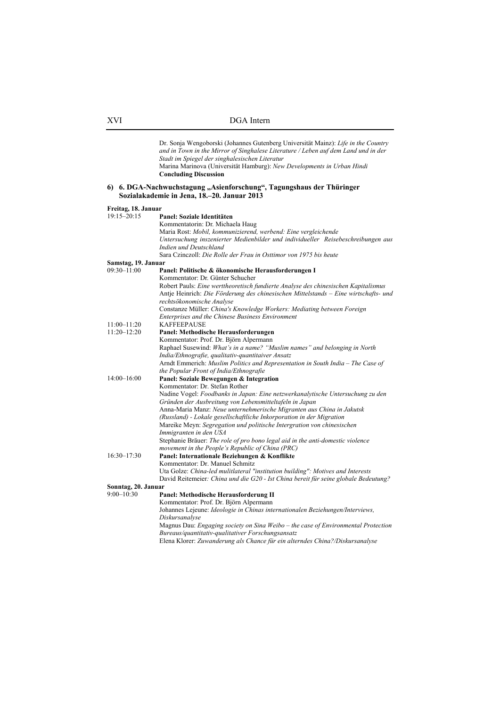Dr. Sonja Wengoborski (Johannes Gutenberg Universität Mainz): *Life in the Country and in Town in the Mirror of Singhalese Literature / Leben auf dem Land und in der Stadt im Spiegel der singhalesischen Literatur* Marina Marinova (Universität Hamburg): *New Developments in Urban Hindi* **Concluding Discussion 6) 6. DGA-Nachwuchstagung "Asienforschung", Tagungshaus der Thüringer Sozialakademie in Jena, 18.–20. Januar 2013 Freitag, 18. Januar**  19:15–20:15 **Panel: Soziale Identitäten**  Kommentatorin: Dr. Michaela Haug Maria Rost: *Mobil, kommunizierend, werbend: Eine vergleichende Untersuchung inszenierter Medienbilder und individueller Reisebeschreibungen aus Indien und Deutschland*  Sara Czinczoll: *Die Rolle der Frau in Osttimor von 1975 bis heute*  **Samstag, 19. Januar** 09:30-11:00 Pa Panel: Politische & ökonomische Herausforderungen I Kommentator: Dr. Günter Schucher Robert Pauls: *Eine werttheoretisch fundierte Analyse des chinesischen Kapitalismus* Antje Heinrich: *Die Förderung des chinesischen Mittelstands – Eine wirtschafts- und rechtsökonomische Analyse*  Constanze Müller: *China's Knowledge Workers: Mediating between Foreign Enterprises and the Chinese Business Environment* 11:00–11:20 KAFFEEPAUSE<br>11:20–12:20 **Panel: Methodis** Panel: Methodische Herausforderungen Kommentator: Prof. Dr. Björn Alpermann Raphael Susewind: *What's in a name? "Muslim names" and belonging in North India/Ethnografie, qualitativ-quantitaiver Ansatz* Arndt Emmerich: *Muslim Politics and Representation in South India – The Case of the Popular Front of India/Ethnografie* 14:00–16:00 **Panel: Soziale Bewegungen & Integration**  Kommentator: Dr. Stefan Rother Nadine Vogel: *Foodbanks in Japan: Eine netzwerkanalytische Untersuchung zu den Gründen der Ausbreitung von Lebensmitteltafeln in Japan* Anna-Maria Manz: *Neue unternehmerische Migranten aus China in Jakutsk (Russland) - Lokale gesellschaftliche Inkorporation in der Migration*  Mareike Meyn: *Segregation und politische Intergration von chinesischen Immigranten in den USA* Stephanie Bräuer: *The role of pro bono legal aid in the anti-domestic violence movement in the People's Republic of China (PRC)* 16:30–17:30 **Panel: Internationale Beziehungen & Konflikte**  Kommentator: Dr. Manuel Schmitz Uta Golze: *China-led mulitlateral "institution building": Motives and Interests* David Reitemeier*: China und die G20 - Ist China bereit für seine globale Bedeutung?* **Sonntag, 20. Januar**  9:00–10:30 **Panel: Methodische Herausforderung II** Kommentator: Prof. Dr. Björn Alpermann Johannes Lejeune: *Ideologie in Chinas internationalen Beziehungen/Interviews, Diskursanalyse* Magnus Dau: *Engaging society on Sina Weibo – the case of Environmental Protection Bureaus/quantitativ-qualitativer Forschungsansatz* Elena Klorer: *Zuwanderung als Chance für ein alterndes China?/Diskursanalyse*